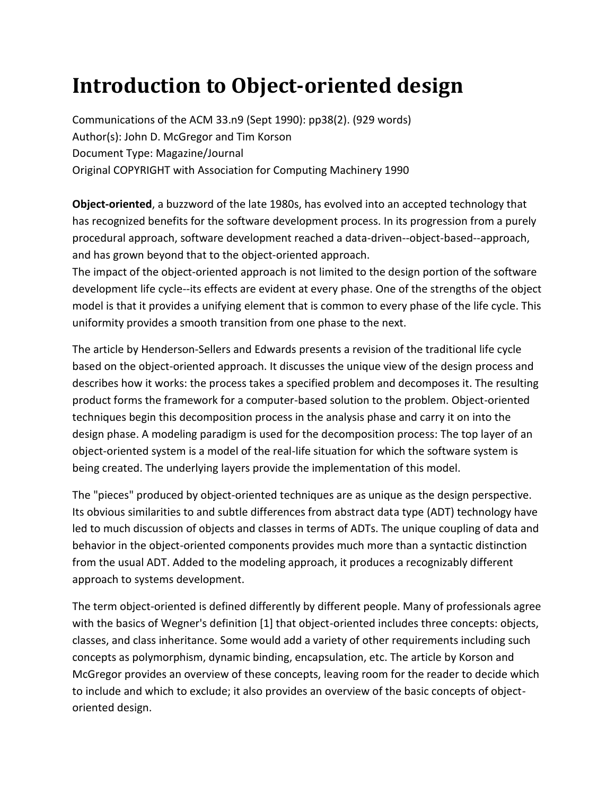## **Introduction to Object-oriented design**

Communications of the ACM 33.n9 (Sept 1990): pp38(2). (929 words) Author(s): John D. McGregor and Tim Korson Document Type: Magazine/Journal Original COPYRIGHT with Association for Computing Machinery 1990

**Object-oriented**, a buzzword of the late 1980s, has evolved into an accepted technology that has recognized benefits for the software development process. In its progression from a purely procedural approach, software development reached a data-driven--object-based--approach, and has grown beyond that to the object-oriented approach.

The impact of the object-oriented approach is not limited to the design portion of the software development life cycle--its effects are evident at every phase. One of the strengths of the object model is that it provides a unifying element that is common to every phase of the life cycle. This uniformity provides a smooth transition from one phase to the next.

The article by Henderson-Sellers and Edwards presents a revision of the traditional life cycle based on the object-oriented approach. It discusses the unique view of the design process and describes how it works: the process takes a specified problem and decomposes it. The resulting product forms the framework for a computer-based solution to the problem. Object-oriented techniques begin this decomposition process in the analysis phase and carry it on into the design phase. A modeling paradigm is used for the decomposition process: The top layer of an object-oriented system is a model of the real-life situation for which the software system is being created. The underlying layers provide the implementation of this model.

The "pieces" produced by object-oriented techniques are as unique as the design perspective. Its obvious similarities to and subtle differences from abstract data type (ADT) technology have led to much discussion of objects and classes in terms of ADTs. The unique coupling of data and behavior in the object-oriented components provides much more than a syntactic distinction from the usual ADT. Added to the modeling approach, it produces a recognizably different approach to systems development.

The term object-oriented is defined differently by different people. Many of professionals agree with the basics of Wegner's definition [1] that object-oriented includes three concepts: objects, classes, and class inheritance. Some would add a variety of other requirements including such concepts as polymorphism, dynamic binding, encapsulation, etc. The article by Korson and McGregor provides an overview of these concepts, leaving room for the reader to decide which to include and which to exclude; it also provides an overview of the basic concepts of objectoriented design.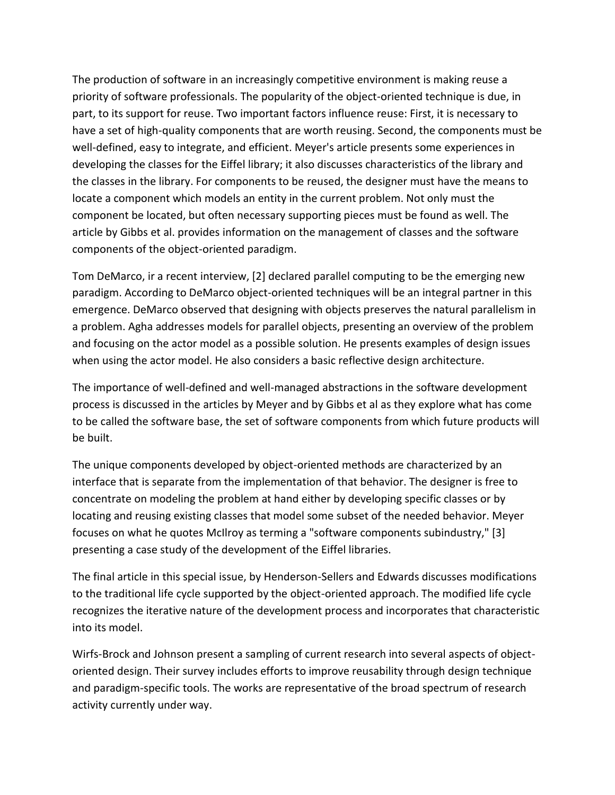The production of software in an increasingly competitive environment is making reuse a priority of software professionals. The popularity of the object-oriented technique is due, in part, to its support for reuse. Two important factors influence reuse: First, it is necessary to have a set of high-quality components that are worth reusing. Second, the components must be well-defined, easy to integrate, and efficient. Meyer's article presents some experiences in developing the classes for the Eiffel library; it also discusses characteristics of the library and the classes in the library. For components to be reused, the designer must have the means to locate a component which models an entity in the current problem. Not only must the component be located, but often necessary supporting pieces must be found as well. The article by Gibbs et al. provides information on the management of classes and the software components of the object-oriented paradigm.

Tom DeMarco, ir a recent interview, [2] declared parallel computing to be the emerging new paradigm. According to DeMarco object-oriented techniques will be an integral partner in this emergence. DeMarco observed that designing with objects preserves the natural parallelism in a problem. Agha addresses models for parallel objects, presenting an overview of the problem and focusing on the actor model as a possible solution. He presents examples of design issues when using the actor model. He also considers a basic reflective design architecture.

The importance of well-defined and well-managed abstractions in the software development process is discussed in the articles by Meyer and by Gibbs et al as they explore what has come to be called the software base, the set of software components from which future products will be built.

The unique components developed by object-oriented methods are characterized by an interface that is separate from the implementation of that behavior. The designer is free to concentrate on modeling the problem at hand either by developing specific classes or by locating and reusing existing classes that model some subset of the needed behavior. Meyer focuses on what he quotes McIlroy as terming a "software components subindustry," [3] presenting a case study of the development of the Eiffel libraries.

The final article in this special issue, by Henderson-Sellers and Edwards discusses modifications to the traditional life cycle supported by the object-oriented approach. The modified life cycle recognizes the iterative nature of the development process and incorporates that characteristic into its model.

Wirfs-Brock and Johnson present a sampling of current research into several aspects of objectoriented design. Their survey includes efforts to improve reusability through design technique and paradigm-specific tools. The works are representative of the broad spectrum of research activity currently under way.